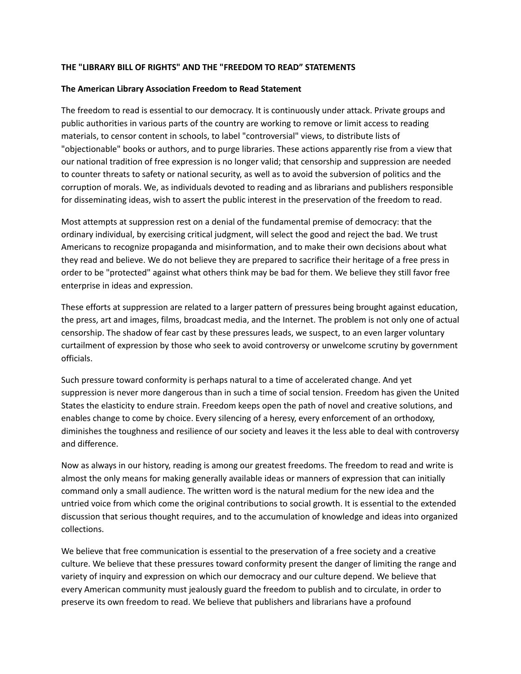## **THE "LIBRARY BILL OF RIGHTS" AND THE "FREEDOM TO READ" STATEMENTS**

## **The American Library Association Freedom to Read Statement**

The freedom to read is essential to our democracy. It is continuously under attack. Private groups and public authorities in various parts of the country are working to remove or limit access to reading materials, to censor content in schools, to label "controversial" views, to distribute lists of "objectionable" books or authors, and to purge libraries. These actions apparently rise from a view that our national tradition of free expression is no longer valid; that censorship and suppression are needed to counter threats to safety or national security, as well as to avoid the subversion of politics and the corruption of morals. We, as individuals devoted to reading and as librarians and publishers responsible for disseminating ideas, wish to assert the public interest in the preservation of the freedom to read.

Most attempts at suppression rest on a denial of the fundamental premise of democracy: that the ordinary individual, by exercising critical judgment, will select the good and reject the bad. We trust Americans to recognize propaganda and misinformation, and to make their own decisions about what they read and believe. We do not believe they are prepared to sacrifice their heritage of a free press in order to be "protected" against what others think may be bad for them. We believe they still favor free enterprise in ideas and expression.

These efforts at suppression are related to a larger pattern of pressures being brought against education, the press, art and images, films, broadcast media, and the Internet. The problem is not only one of actual censorship. The shadow of fear cast by these pressures leads, we suspect, to an even larger voluntary curtailment of expression by those who seek to avoid controversy or unwelcome scrutiny by government officials.

Such pressure toward conformity is perhaps natural to a time of accelerated change. And yet suppression is never more dangerous than in such a time of social tension. Freedom has given the United States the elasticity to endure strain. Freedom keeps open the path of novel and creative solutions, and enables change to come by choice. Every silencing of a heresy, every enforcement of an orthodoxy, diminishes the toughness and resilience of our society and leaves it the less able to deal with controversy and difference.

Now as always in our history, reading is among our greatest freedoms. The freedom to read and write is almost the only means for making generally available ideas or manners of expression that can initially command only a small audience. The written word is the natural medium for the new idea and the untried voice from which come the original contributions to social growth. It is essential to the extended discussion that serious thought requires, and to the accumulation of knowledge and ideas into organized collections.

We believe that free communication is essential to the preservation of a free society and a creative culture. We believe that these pressures toward conformity present the danger of limiting the range and variety of inquiry and expression on which our democracy and our culture depend. We believe that every American community must jealously guard the freedom to publish and to circulate, in order to preserve its own freedom to read. We believe that publishers and librarians have a profound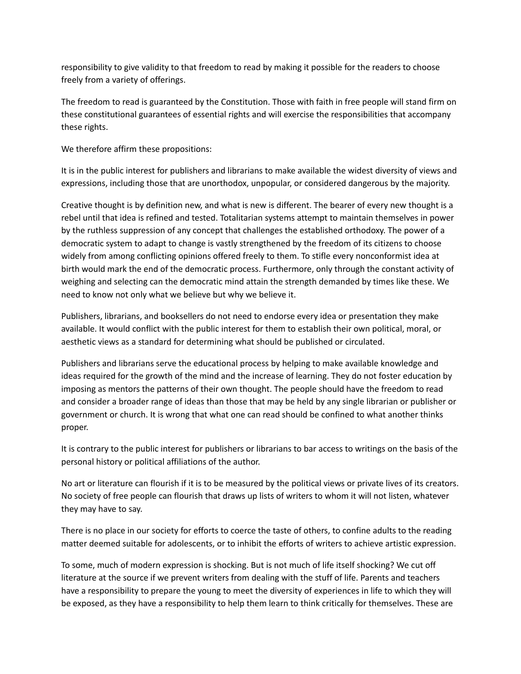responsibility to give validity to that freedom to read by making it possible for the readers to choose freely from a variety of offerings.

The freedom to read is guaranteed by the Constitution. Those with faith in free people will stand firm on these constitutional guarantees of essential rights and will exercise the responsibilities that accompany these rights.

We therefore affirm these propositions:

It is in the public interest for publishers and librarians to make available the widest diversity of views and expressions, including those that are unorthodox, unpopular, or considered dangerous by the majority.

Creative thought is by definition new, and what is new is different. The bearer of every new thought is a rebel until that idea is refined and tested. Totalitarian systems attempt to maintain themselves in power by the ruthless suppression of any concept that challenges the established orthodoxy. The power of a democratic system to adapt to change is vastly strengthened by the freedom of its citizens to choose widely from among conflicting opinions offered freely to them. To stifle every nonconformist idea at birth would mark the end of the democratic process. Furthermore, only through the constant activity of weighing and selecting can the democratic mind attain the strength demanded by times like these. We need to know not only what we believe but why we believe it.

Publishers, librarians, and booksellers do not need to endorse every idea or presentation they make available. It would conflict with the public interest for them to establish their own political, moral, or aesthetic views as a standard for determining what should be published or circulated.

Publishers and librarians serve the educational process by helping to make available knowledge and ideas required for the growth of the mind and the increase of learning. They do not foster education by imposing as mentors the patterns of their own thought. The people should have the freedom to read and consider a broader range of ideas than those that may be held by any single librarian or publisher or government or church. It is wrong that what one can read should be confined to what another thinks proper.

It is contrary to the public interest for publishers or librarians to bar access to writings on the basis of the personal history or political affiliations of the author.

No art or literature can flourish if it is to be measured by the political views or private lives of its creators. No society of free people can flourish that draws up lists of writers to whom it will not listen, whatever they may have to say.

There is no place in our society for efforts to coerce the taste of others, to confine adults to the reading matter deemed suitable for adolescents, or to inhibit the efforts of writers to achieve artistic expression.

To some, much of modern expression is shocking. But is not much of life itself shocking? We cut off literature at the source if we prevent writers from dealing with the stuff of life. Parents and teachers have a responsibility to prepare the young to meet the diversity of experiences in life to which they will be exposed, as they have a responsibility to help them learn to think critically for themselves. These are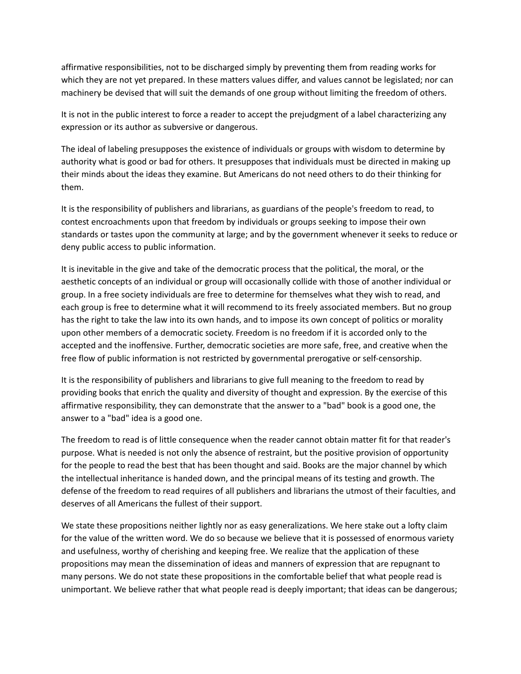affirmative responsibilities, not to be discharged simply by preventing them from reading works for which they are not yet prepared. In these matters values differ, and values cannot be legislated; nor can machinery be devised that will suit the demands of one group without limiting the freedom of others.

It is not in the public interest to force a reader to accept the prejudgment of a label characterizing any expression or its author as subversive or dangerous.

The ideal of labeling presupposes the existence of individuals or groups with wisdom to determine by authority what is good or bad for others. It presupposes that individuals must be directed in making up their minds about the ideas they examine. But Americans do not need others to do their thinking for them.

It is the responsibility of publishers and librarians, as guardians of the people's freedom to read, to contest encroachments upon that freedom by individuals or groups seeking to impose their own standards or tastes upon the community at large; and by the government whenever it seeks to reduce or deny public access to public information.

It is inevitable in the give and take of the democratic process that the political, the moral, or the aesthetic concepts of an individual or group will occasionally collide with those of another individual or group. In a free society individuals are free to determine for themselves what they wish to read, and each group is free to determine what it will recommend to its freely associated members. But no group has the right to take the law into its own hands, and to impose its own concept of politics or morality upon other members of a democratic society. Freedom is no freedom if it is accorded only to the accepted and the inoffensive. Further, democratic societies are more safe, free, and creative when the free flow of public information is not restricted by governmental prerogative or self-censorship.

It is the responsibility of publishers and librarians to give full meaning to the freedom to read by providing books that enrich the quality and diversity of thought and expression. By the exercise of this affirmative responsibility, they can demonstrate that the answer to a "bad" book is a good one, the answer to a "bad" idea is a good one.

The freedom to read is of little consequence when the reader cannot obtain matter fit for that reader's purpose. What is needed is not only the absence of restraint, but the positive provision of opportunity for the people to read the best that has been thought and said. Books are the major channel by which the intellectual inheritance is handed down, and the principal means of its testing and growth. The defense of the freedom to read requires of all publishers and librarians the utmost of their faculties, and deserves of all Americans the fullest of their support.

We state these propositions neither lightly nor as easy generalizations. We here stake out a lofty claim for the value of the written word. We do so because we believe that it is possessed of enormous variety and usefulness, worthy of cherishing and keeping free. We realize that the application of these propositions may mean the dissemination of ideas and manners of expression that are repugnant to many persons. We do not state these propositions in the comfortable belief that what people read is unimportant. We believe rather that what people read is deeply important; that ideas can be dangerous;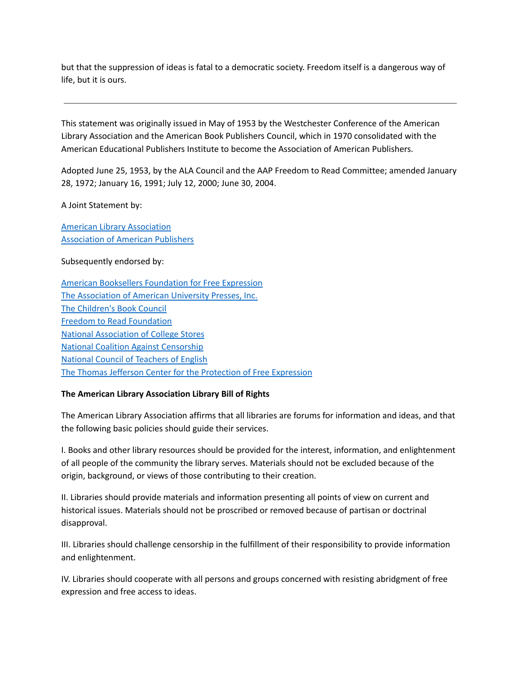but that the suppression of ideas is fatal to a democratic society. Freedom itself is a dangerous way of life, but it is ours.

This statement was originally issued in May of 1953 by the Westchester Conference of the American Library Association and the American Book Publishers Council, which in 1970 consolidated with the American Educational Publishers Institute to become the Association of American Publishers.

Adopted June 25, 1953, by the ALA Council and the AAP Freedom to Read Committee; amended January 28, 1972; January 16, 1991; July 12, 2000; June 30, 2004.

A Joint Statement by:

American Library [Association](http://www.ala.org/) [Association](http://www.publishers.org/) of American Publishers

Subsequently endorsed by:

American Booksellers [Foundation](http://www.abffe.com/) for Free Expression The [Association](http://www.aaupnet.org/) of American University Presses, Inc. The [Children's](http://www.cbcbooks.org/) Book Council Freedom to Read [Foundation](http://www.ala.org/groups/affiliates/relatedgroups/freedomtoreadfoundation) National [Association](http://www.nacs.org/) of College Stores National Coalition Against [Censorship](http://www.ncac.org/) National Council of [Teachers](http://www.ncte.org/) of English The Thomas Jefferson Center for the Protection of Free [Expression](http://www.tjcenter.org/)

## **The American Library Association Library Bill of Rights**

The American Library Association affirms that all libraries are forums for information and ideas, and that the following basic policies should guide their services.

I. Books and other library resources should be provided for the interest, information, and enlightenment of all people of the community the library serves. Materials should not be excluded because of the origin, background, or views of those contributing to their creation.

II. Libraries should provide materials and information presenting all points of view on current and historical issues. Materials should not be proscribed or removed because of partisan or doctrinal disapproval.

III. Libraries should challenge censorship in the fulfillment of their responsibility to provide information and enlightenment.

IV. Libraries should cooperate with all persons and groups concerned with resisting abridgment of free expression and free access to ideas.